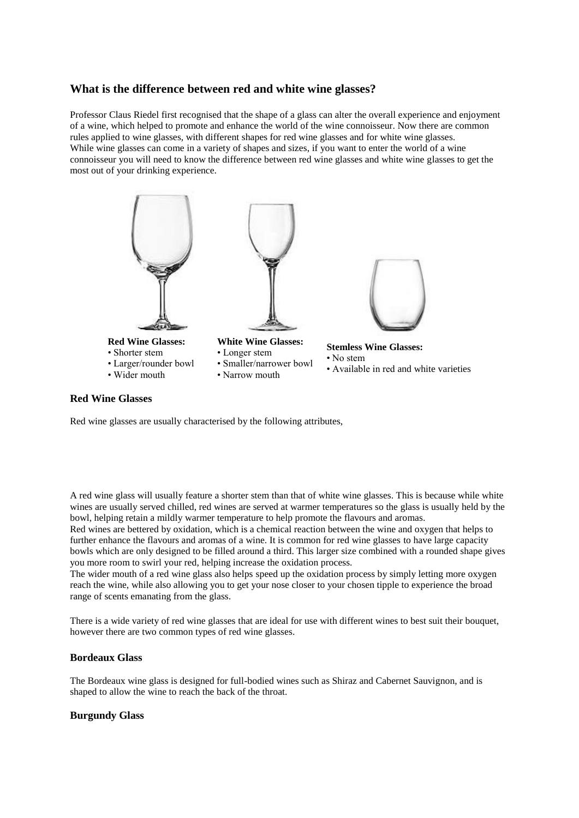# **What is the difference between red and white wine glasses?**

Professor Claus Riedel first recognised that the shape of a glass can alter the overall experience and enjoyment of a wine, which helped to promote and enhance the world of the wine connoisseur. Now there are common rules applied to wine glasses, with different shapes for red wine glasses and for white wine glasses. While wine glasses can come in a variety of shapes and sizes, if you want to enter the world of a wine connoisseur you will need to know the difference between red wine glasses and white wine glasses to get the most out of your drinking experience.



# **Red Wine Glasses**

Red wine glasses are usually characterised by the following attributes,

A red wine glass will usually feature a shorter stem than that of white wine glasses. This is because while white wines are usually served chilled, red wines are served at warmer temperatures so the glass is usually held by the bowl, helping retain a mildly warmer temperature to help promote the flavours and aromas.

Red wines are bettered by oxidation, which is a chemical reaction between the wine and oxygen that helps to further enhance the flavours and aromas of a wine. It is common for red wine glasses to have large capacity bowls which are only designed to be filled around a third. This larger size combined with a rounded shape gives you more room to swirl your red, helping increase the oxidation process.

The wider mouth of a red wine glass also helps speed up the oxidation process by simply letting more oxygen reach the wine, while also allowing you to get your nose closer to your chosen tipple to experience the broad range of scents emanating from the glass.

There is a wide variety of red wine glasses that are ideal for use with different wines to best suit their bouquet, however there are two common types of red wine glasses.

### **Bordeaux Glass**

The Bordeaux wine glass is designed for full-bodied wines such as Shiraz and Cabernet Sauvignon, and is shaped to allow the wine to reach the back of the throat.

#### **Burgundy Glass**